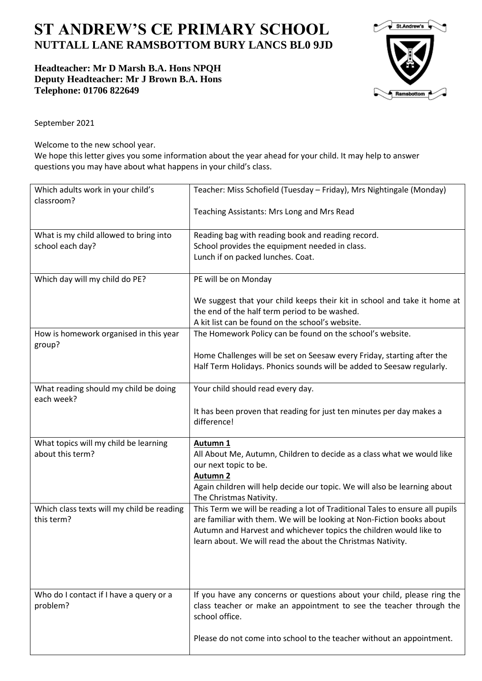## **ST ANDREW'S CE PRIMARY SCHOOL NUTTALL LANE RAMSBOTTOM BURY LANCS BL0 9JD**

**Headteacher: Mr D Marsh B.A. Hons NPQH Deputy Headteacher: Mr J Brown B.A. Hons Telephone: 01706 822649** 



September 2021

Welcome to the new school year.

We hope this letter gives you some information about the year ahead for your child. It may help to answer questions you may have about what happens in your child's class.

| Which adults work in your child's<br>classroom?           | Teacher: Miss Schofield (Tuesday - Friday), Mrs Nightingale (Monday)                                                                                             |
|-----------------------------------------------------------|------------------------------------------------------------------------------------------------------------------------------------------------------------------|
|                                                           | Teaching Assistants: Mrs Long and Mrs Read                                                                                                                       |
| What is my child allowed to bring into                    | Reading bag with reading book and reading record.                                                                                                                |
| school each day?                                          | School provides the equipment needed in class.                                                                                                                   |
|                                                           | Lunch if on packed lunches. Coat.                                                                                                                                |
| Which day will my child do PE?                            | PE will be on Monday                                                                                                                                             |
|                                                           | We suggest that your child keeps their kit in school and take it home at                                                                                         |
|                                                           | the end of the half term period to be washed.                                                                                                                    |
|                                                           | A kit list can be found on the school's website.                                                                                                                 |
| How is homework organised in this year<br>group?          | The Homework Policy can be found on the school's website.                                                                                                        |
|                                                           | Home Challenges will be set on Seesaw every Friday, starting after the                                                                                           |
|                                                           | Half Term Holidays. Phonics sounds will be added to Seesaw regularly.                                                                                            |
| What reading should my child be doing<br>each week?       | Your child should read every day.                                                                                                                                |
|                                                           | It has been proven that reading for just ten minutes per day makes a                                                                                             |
|                                                           | difference!                                                                                                                                                      |
|                                                           |                                                                                                                                                                  |
| What topics will my child be learning<br>about this term? | Autumn 1                                                                                                                                                         |
|                                                           | All About Me, Autumn, Children to decide as a class what we would like<br>our next topic to be.                                                                  |
|                                                           | <b>Autumn 2</b>                                                                                                                                                  |
|                                                           | Again children will help decide our topic. We will also be learning about<br>The Christmas Nativity.                                                             |
| Which class texts will my child be reading                | This Term we will be reading a lot of Traditional Tales to ensure all pupils                                                                                     |
| this term?                                                | are familiar with them. We will be looking at Non-Fiction books about                                                                                            |
|                                                           | Autumn and Harvest and whichever topics the children would like to                                                                                               |
|                                                           | learn about. We will read the about the Christmas Nativity.                                                                                                      |
|                                                           |                                                                                                                                                                  |
|                                                           |                                                                                                                                                                  |
|                                                           |                                                                                                                                                                  |
| Who do I contact if I have a query or a<br>problem?       | If you have any concerns or questions about your child, please ring the<br>class teacher or make an appointment to see the teacher through the<br>school office. |
|                                                           | Please do not come into school to the teacher without an appointment.                                                                                            |